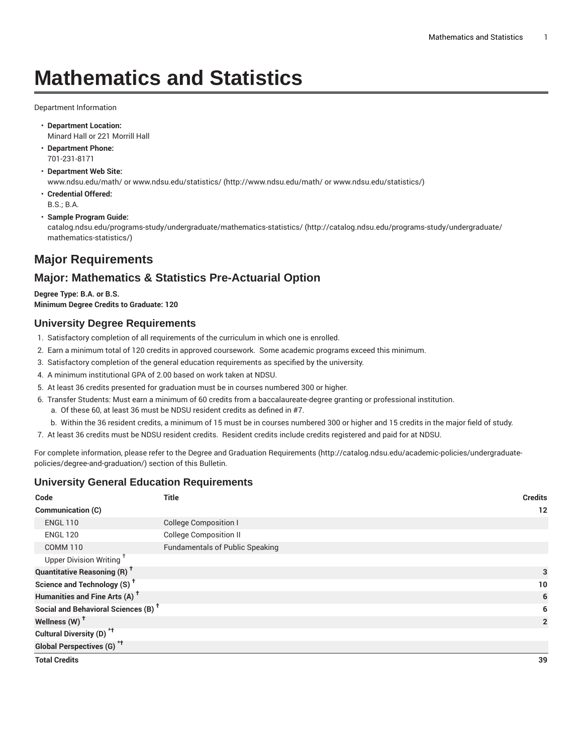# **Mathematics and Statistics**

Department Information

- **Department Location:** Minard Hall or 221 Morrill Hall
- **Department Phone:** 701-231-8171
- **Department Web Site:** www.ndsu.edu/math/ or [www.ndsu.edu/statistics/ \(http://www.ndsu.edu/math/](http://www.ndsu.edu/math/ or www.ndsu.edu/statistics/) or www.ndsu.edu/statistics/)
- **Credential Offered:** B.S.; B.A.
- **Sample Program Guide:**

[catalog.ndsu.edu/programs-study/undergraduate/mathematics-statistics/](http://catalog.ndsu.edu/programs-study/undergraduate/mathematics-statistics/) ([http://catalog.ndsu.edu/programs-study/undergraduate/](http://catalog.ndsu.edu/programs-study/undergraduate/mathematics-statistics/) [mathematics-statistics/](http://catalog.ndsu.edu/programs-study/undergraduate/mathematics-statistics/))

# **Major Requirements**

## **Major: Mathematics & Statistics Pre-Actuarial Option**

**Degree Type: B.A. or B.S. Minimum Degree Credits to Graduate: 120**

#### **University Degree Requirements**

- 1. Satisfactory completion of all requirements of the curriculum in which one is enrolled.
- 2. Earn a minimum total of 120 credits in approved coursework. Some academic programs exceed this minimum.
- 3. Satisfactory completion of the general education requirements as specified by the university.
- 4. A minimum institutional GPA of 2.00 based on work taken at NDSU.
- 5. At least 36 credits presented for graduation must be in courses numbered 300 or higher.
- 6. Transfer Students: Must earn a minimum of 60 credits from a baccalaureate-degree granting or professional institution.
	- a. Of these 60, at least 36 must be NDSU resident credits as defined in #7.
	- b. Within the 36 resident credits, a minimum of 15 must be in courses numbered 300 or higher and 15 credits in the major field of study.
- 7. At least 36 credits must be NDSU resident credits. Resident credits include credits registered and paid for at NDSU.

For complete information, please refer to the Degree and Graduation [Requirements](http://catalog.ndsu.edu/academic-policies/undergraduate-policies/degree-and-graduation/) ([http://catalog.ndsu.edu/academic-policies/undergraduate](http://catalog.ndsu.edu/academic-policies/undergraduate-policies/degree-and-graduation/)[policies/degree-and-graduation/\)](http://catalog.ndsu.edu/academic-policies/undergraduate-policies/degree-and-graduation/) section of this Bulletin.

#### **University General Education Requirements**

| Code                                            | <b>Title</b>                           | <b>Credits</b> |
|-------------------------------------------------|----------------------------------------|----------------|
| Communication (C)                               |                                        | 12             |
| <b>ENGL 110</b>                                 | <b>College Composition I</b>           |                |
| <b>ENGL 120</b>                                 | <b>College Composition II</b>          |                |
| <b>COMM 110</b>                                 | <b>Fundamentals of Public Speaking</b> |                |
| Upper Division Writing <sup>+</sup>             |                                        |                |
| <b>Quantitative Reasoning (R)<sup>†</sup></b>   | 3                                      |                |
| Science and Technology (S) <sup>+</sup>         |                                        | 10             |
| Humanities and Fine Arts (A) <sup>+</sup>       |                                        | 6              |
| Social and Behavioral Sciences (B) <sup>+</sup> |                                        | 6              |
| Wellness $(W)$ <sup>+</sup>                     |                                        | $\overline{2}$ |
| Cultural Diversity (D) <sup>*†</sup>            |                                        |                |
| Global Perspectives (G) <sup>*†</sup>           |                                        |                |
| <b>Total Credits</b>                            |                                        | 39             |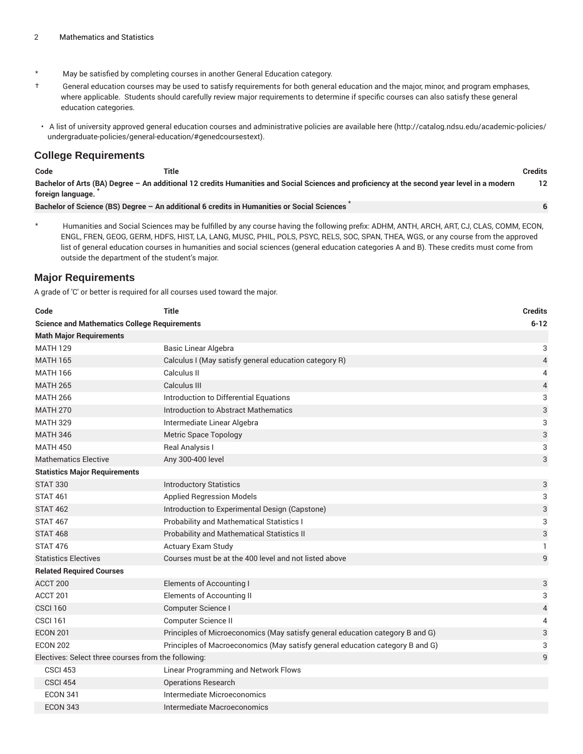- \* May be satisfied by completing courses in another General Education category.
- † General education courses may be used to satisfy requirements for both general education and the major, minor, and program emphases, where applicable. Students should carefully review major requirements to determine if specific courses can also satisfy these general education categories.
- A list of university approved general education courses and administrative policies are available [here](http://catalog.ndsu.edu/academic-policies/undergraduate-policies/general-education/#genedcoursestext) ([http://catalog.ndsu.edu/academic-policies/](http://catalog.ndsu.edu/academic-policies/undergraduate-policies/general-education/#genedcoursestext) [undergraduate-policies/general-education/#genedcoursestext](http://catalog.ndsu.edu/academic-policies/undergraduate-policies/general-education/#genedcoursestext)).

#### **College Requirements**

| Code                                                                                                                                                             | Title                                                                                      |  | Credits |  |
|------------------------------------------------------------------------------------------------------------------------------------------------------------------|--------------------------------------------------------------------------------------------|--|---------|--|
| Bachelor of Arts (BA) Degree - An additional 12 credits Humanities and Social Sciences and proficiency at the second year level in a modern<br>foreign language. |                                                                                            |  |         |  |
|                                                                                                                                                                  | Bachelor of Science (BS) Degree - An additional 6 credits in Humanities or Social Sciences |  |         |  |

Humanities and Social Sciences may be fulfilled by any course having the following prefix: ADHM, ANTH, ARCH, ART, CJ, CLAS, COMM, ECON,

ENGL, FREN, GEOG, GERM, HDFS, HIST, LA, LANG, MUSC, PHIL, POLS, PSYC, RELS, SOC, SPAN, THEA, WGS, or any course from the approved list of general education courses in humanities and social sciences (general education categories A and B). These credits must come from outside the department of the student's major.

#### **Major Requirements**

A grade of 'C' or better is required for all courses used toward the major.

| Code                                                | <b>Title</b>                                                                  | <b>Credits</b> |
|-----------------------------------------------------|-------------------------------------------------------------------------------|----------------|
| <b>Science and Mathematics College Requirements</b> |                                                                               | $6 - 12$       |
| <b>Math Major Requirements</b>                      |                                                                               |                |
| <b>MATH 129</b>                                     | Basic Linear Algebra                                                          | 3              |
| <b>MATH 165</b>                                     | Calculus I (May satisfy general education category R)                         | $\overline{4}$ |
| <b>MATH 166</b>                                     | Calculus II                                                                   | 4              |
| <b>MATH 265</b>                                     | Calculus III                                                                  | 4              |
| <b>MATH 266</b>                                     | Introduction to Differential Equations                                        | 3              |
| <b>MATH 270</b>                                     | Introduction to Abstract Mathematics                                          | $\sqrt{3}$     |
| <b>MATH 329</b>                                     | Intermediate Linear Algebra                                                   | 3              |
| <b>MATH 346</b>                                     | <b>Metric Space Topology</b>                                                  | 3              |
| <b>MATH 450</b>                                     | Real Analysis I                                                               | 3              |
| <b>Mathematics Elective</b>                         | Any 300-400 level                                                             | 3              |
| <b>Statistics Major Requirements</b>                |                                                                               |                |
| <b>STAT 330</b>                                     | <b>Introductory Statistics</b>                                                | 3              |
| <b>STAT 461</b>                                     | <b>Applied Regression Models</b>                                              | 3              |
| <b>STAT 462</b>                                     | Introduction to Experimental Design (Capstone)                                | 3              |
| <b>STAT 467</b>                                     | <b>Probability and Mathematical Statistics I</b>                              | 3              |
| <b>STAT 468</b>                                     | Probability and Mathematical Statistics II                                    | 3              |
| <b>STAT 476</b>                                     | Actuary Exam Study                                                            | $\mathbf{1}$   |
| <b>Statistics Electives</b>                         | Courses must be at the 400 level and not listed above                         | 9              |
| <b>Related Required Courses</b>                     |                                                                               |                |
| ACCT 200                                            | <b>Elements of Accounting I</b>                                               | 3              |
| ACCT 201                                            | <b>Elements of Accounting II</b>                                              | 3              |
| <b>CSCI 160</b>                                     | Computer Science I                                                            | $\overline{4}$ |
| <b>CSCI 161</b>                                     | Computer Science II                                                           | 4              |
| <b>ECON 201</b>                                     | Principles of Microeconomics (May satisfy general education category B and G) | 3              |
| <b>ECON 202</b>                                     | Principles of Macroeconomics (May satisfy general education category B and G) | 3              |
| Electives: Select three courses from the following: |                                                                               | 9              |
| <b>CSCI 453</b>                                     | Linear Programming and Network Flows                                          |                |
| <b>CSCI 454</b>                                     | <b>Operations Research</b>                                                    |                |
| <b>ECON 341</b>                                     | Intermediate Microeconomics                                                   |                |
| <b>ECON 343</b>                                     | Intermediate Macroeconomics                                                   |                |